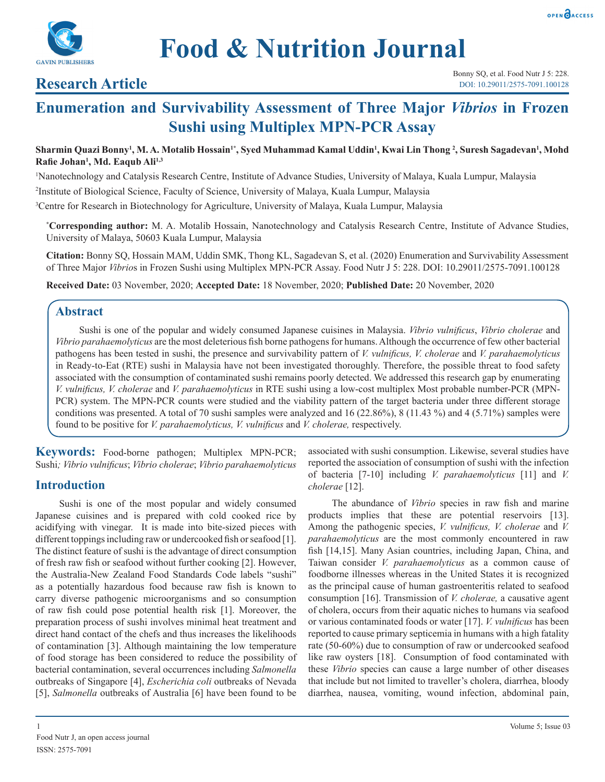



# **Research Article**

# **Enumeration and Survivability Assessment of Three Major** *Vibrios* **in Frozen Sushi using Multiplex MPN-PCR Assay**

## Sharmin Quazi Bonny<sup>ı</sup>, M. A. Motalib Hossain<sup>ı</sup>\*, Syed Muhammad Kamal Uddin<sup>ı</sup>, Kwai Lin Thong <sup>2</sup>, Suresh Sagadevan<sup>ı</sup>, Mohd **Rafie Johan<sup>1</sup> , Md. Eaqub Ali1,3**

1 Nanotechnology and Catalysis Research Centre, Institute of Advance Studies, University of Malaya, Kuala Lumpur, Malaysia

2 Institute of Biological Science, Faculty of Science, University of Malaya, Kuala Lumpur, Malaysia

3 Centre for Research in Biotechnology for Agriculture, University of Malaya, Kuala Lumpur, Malaysia

**\* Corresponding author:** M. A. Motalib Hossain, Nanotechnology and Catalysis Research Centre, Institute of Advance Studies, University of Malaya, 50603 Kuala Lumpur, Malaysia

**Citation:** Bonny SQ, Hossain MAM, Uddin SMK, Thong KL, Sagadevan S, et al. (2020) Enumeration and Survivability Assessment of Three Major *Vibrio*s in Frozen Sushi using Multiplex MPN-PCR Assay. Food Nutr J 5: 228. DOI: 10.29011/2575-7091.100128

**Received Date:** 03 November, 2020; **Accepted Date:** 18 November, 2020; **Published Date:** 20 November, 2020

# **Abstract**

Sushi is one of the popular and widely consumed Japanese cuisines in Malaysia. *Vibrio vulnificus*, *Vibrio cholerae* and *Vibrio parahaemolyticus* are the most deleterious fish borne pathogens for humans. Although the occurrence of few other bacterial pathogens has been tested in sushi, the presence and survivability pattern of *V. vulnificus, V. cholerae* and *V. parahaemolyticus*  in Ready-to-Eat (RTE) sushi in Malaysia have not been investigated thoroughly. Therefore, the possible threat to food safety associated with the consumption of contaminated sushi remains poorly detected. We addressed this research gap by enumerating *V. vulnificus, V. cholerae* and *V. parahaemolyticus* in RTE sushi using a low-cost multiplex Most probable number-PCR (MPN-PCR) system. The MPN-PCR counts were studied and the viability pattern of the target bacteria under three different storage conditions was presented. A total of 70 sushi samples were analyzed and 16 (22.86%), 8 (11.43 %) and 4 (5.71%) samples were found to be positive for *V. parahaemolyticus, V. vulnificus* and *V. cholerae,* respectively.

**Keywords:** Food-borne pathogen; Multiplex MPN-PCR; Sushi*; Vibrio vulnificus*; *Vibrio cholerae*; *Vibrio parahaemolyticus* 

# **Introduction**

Sushi is one of the most popular and widely consumed Japanese cuisines and is prepared with cold cooked rice by acidifying with vinegar. It is made into bite-sized pieces with different toppings including raw or undercooked fish or seafood [1]. The distinct feature of sushi is the advantage of direct consumption of fresh raw fish or seafood without further cooking [2]. However, the Australia-New Zealand Food Standards Code labels "sushi" as a potentially hazardous food because raw fish is known to carry diverse pathogenic microorganisms and so consumption of raw fish could pose potential health risk [1]. Moreover, the preparation process of sushi involves minimal heat treatment and direct hand contact of the chefs and thus increases the likelihoods of contamination [3]. Although maintaining the low temperature of food storage has been considered to reduce the possibility of bacterial contamination, several occurrences including *Salmonella*  outbreaks of Singapore [4], *Escherichia coli* outbreaks of Nevada [5], *Salmonella* outbreaks of Australia [6] have been found to be

associated with sushi consumption. Likewise, several studies have reported the association of consumption of sushi with the infection of bacteria [7-10] including *V. parahaemolyticus* [11] and *V. cholerae* [12].

The abundance of *Vibrio* species in raw fish and marine products implies that these are potential reservoirs [13]. Among the pathogenic species, *V. vulnificus, V. cholerae* and *V. parahaemolyticus* are the most commonly encountered in raw fish [14,15]. Many Asian countries, including Japan, China, and Taiwan consider *V. parahaemolyticus* as a common cause of foodborne illnesses whereas in the United States it is recognized as the principal cause of human gastroenteritis related to seafood consumption [16]. Transmission of *V. cholerae,* a causative agent of cholera, occurs from their aquatic niches to humans via seafood or various contaminated foods or water [17]. *V. vulnificus* has been reported to cause primary septicemia in humans with a high fatality rate (50-60%) due to consumption of raw or undercooked seafood like raw oysters [18]. Consumption of food contaminated with these *Vibrio* species can cause a large number of other diseases that include but not limited to traveller's cholera, diarrhea, bloody diarrhea, nausea, vomiting, wound infection, abdominal pain,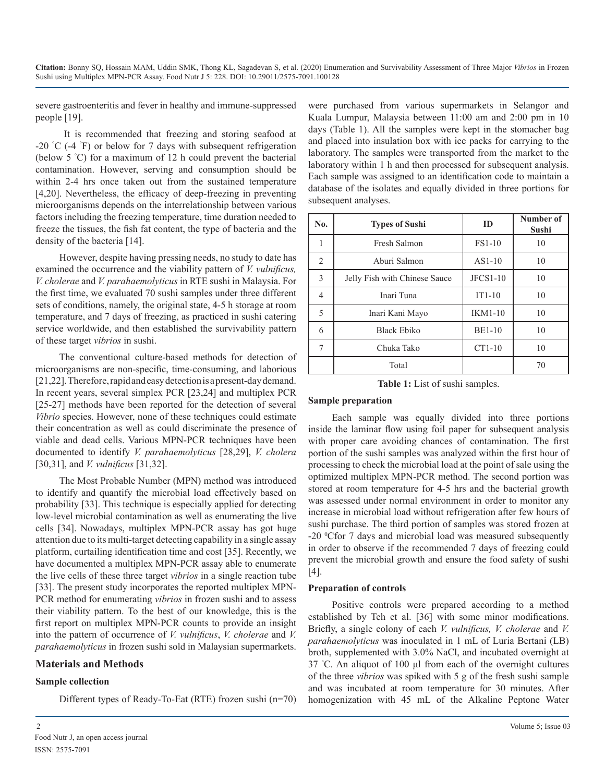severe gastroenteritis and fever in healthy and immune-suppressed people [19].

 It is recommended that freezing and storing seafood at -20 ° C (-4 ° F) or below for 7 days with subsequent refrigeration (below 5 ° C) for a maximum of 12 h could prevent the bacterial contamination. However, serving and consumption should be within 2-4 hrs once taken out from the sustained temperature [4,20]. Nevertheless, the efficacy of deep-freezing in preventing microorganisms depends on the interrelationship between various factors including the freezing temperature, time duration needed to freeze the tissues, the fish fat content, the type of bacteria and the density of the bacteria [14].

However, despite having pressing needs, no study to date has examined the occurrence and the viability pattern of *V. vulnificus, V. cholerae* and *V. parahaemolyticus* in RTE sushi in Malaysia. For the first time, we evaluated 70 sushi samples under three different sets of conditions, namely, the original state, 4-5 h storage at room temperature, and 7 days of freezing, as practiced in sushi catering service worldwide, and then established the survivability pattern of these target *vibrios* in sushi.

The conventional culture-based methods for detection of microorganisms are non-specific, time-consuming, and laborious [21,22]. Therefore, rapid and easy detection is a present-day demand. In recent years, several simplex PCR [23,24] and multiplex PCR [25-27] methods have been reported for the detection of several *Vibrio* species. However, none of these techniques could estimate their concentration as well as could discriminate the presence of viable and dead cells. Various MPN-PCR techniques have been documented to identify *V. parahaemolyticus* [28,29], *V. cholera*  [30,31], and *V. vulnificus* [31,32].

The Most Probable Number (MPN) method was introduced to identify and quantify the microbial load effectively based on probability [33]. This technique is especially applied for detecting low-level microbial contamination as well as enumerating the live cells [34]. Nowadays, multiplex MPN-PCR assay has got huge attention due to its multi-target detecting capability in a single assay platform, curtailing identification time and cost [35]. Recently, we have documented a multiplex MPN-PCR assay able to enumerate the live cells of these three target *vibrios* in a single reaction tube [33]. The present study incorporates the reported multiplex MPN-PCR method for enumerating *vibrios* in frozen sushi and to assess their viability pattern. To the best of our knowledge, this is the first report on multiplex MPN-PCR counts to provide an insight into the pattern of occurrence of *V. vulnificus*, *V. cholerae* and *V. parahaemolyticus* in frozen sushi sold in Malaysian supermarkets.

### **Materials and Methods**

### **Sample collection**

Different types of Ready-To-Eat (RTE) frozen sushi (n=70)

were purchased from various supermarkets in Selangor and Kuala Lumpur, Malaysia between 11:00 am and 2:00 pm in 10 days (Table 1). All the samples were kept in the stomacher bag and placed into insulation box with ice packs for carrying to the laboratory. The samples were transported from the market to the laboratory within 1 h and then processed for subsequent analysis. Each sample was assigned to an identification code to maintain a database of the isolates and equally divided in three portions for subsequent analyses.

| No.            | <b>Types of Sushi</b>         | ID             | Number of<br>Sushi |  |  |  |
|----------------|-------------------------------|----------------|--------------------|--|--|--|
|                | Fresh Salmon                  | <b>FS1-10</b>  | 10                 |  |  |  |
| $\overline{2}$ | Aburi Salmon                  | $AS1-10$       | 10                 |  |  |  |
| 3              | Jelly Fish with Chinese Sauce | $JFCS1-10$     | 10                 |  |  |  |
| 4              | Inari Tuna                    | $IT1-10$       | 10                 |  |  |  |
| 5              | Inari Kani Mayo               | <b>IKM1-10</b> | 10                 |  |  |  |
| 6              | <b>Black Ebiko</b>            | <b>BE1-10</b>  | 10                 |  |  |  |
| 7              | Chuka Tako                    | $CT1-10$       | 10                 |  |  |  |
|                | Total                         |                | 70                 |  |  |  |

**Table 1:** List of sushi samples.

#### **Sample preparation**

Each sample was equally divided into three portions inside the laminar flow using foil paper for subsequent analysis with proper care avoiding chances of contamination. The first portion of the sushi samples was analyzed within the first hour of processing to check the microbial load at the point of sale using the optimized multiplex MPN-PCR method. The second portion was stored at room temperature for 4-5 hrs and the bacterial growth was assessed under normal environment in order to monitor any increase in microbial load without refrigeration after few hours of sushi purchase. The third portion of samples was stored frozen at -20 <sup>o</sup>Cfor 7 days and microbial load was measured subsequently in order to observe if the recommended 7 days of freezing could prevent the microbial growth and ensure the food safety of sushi [4].

### **Preparation of controls**

Positive controls were prepared according to a method established by Teh et al. [36] with some minor modifications. Briefly, a single colony of each *V. vulnificus, V. cholerae* and *V. parahaemolyticus* was inoculated in 1 mL of Luria Bertani (LB) broth, supplemented with 3.0% NaCl, and incubated overnight at 37 ° C. An aliquot of 100 μl from each of the overnight cultures of the three *vibrios* was spiked with 5 g of the fresh sushi sample and was incubated at room temperature for 30 minutes. After homogenization with 45 mL of the Alkaline Peptone Water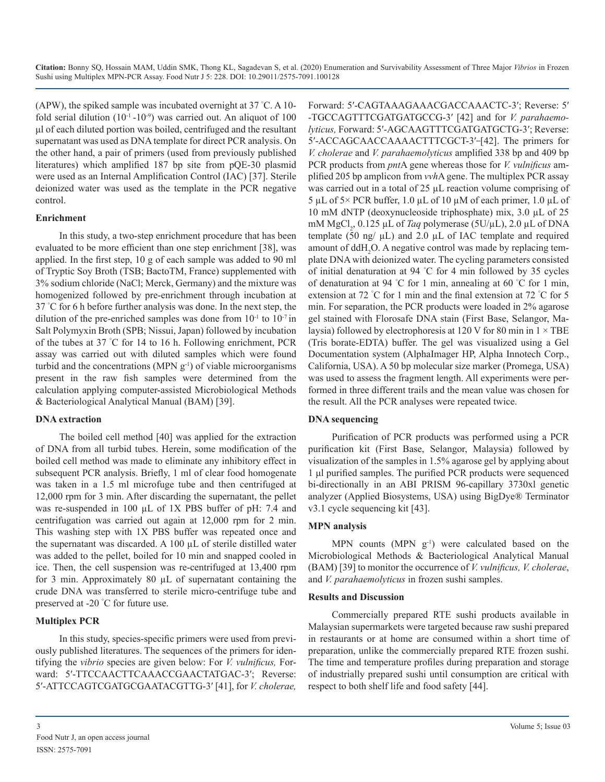(APW), the spiked sample was incubated overnight at 37 ° C. A 10 fold serial dilution  $(10^{-1} - 10^{-9})$  was carried out. An aliquot of 100 μl of each diluted portion was boiled, centrifuged and the resultant supernatant was used as DNA template for direct PCR analysis. On the other hand, a pair of primers (used from previously published literatures) which amplified 187 bp site from pQE-30 plasmid were used as an Internal Amplification Control (IAC) [37]. Sterile deionized water was used as the template in the PCR negative control.

## **Enrichment**

In this study, a two-step enrichment procedure that has been evaluated to be more efficient than one step enrichment [38], was applied. In the first step, 10 g of each sample was added to 90 ml of Tryptic Soy Broth (TSB; BactoTM, France) supplemented with 3% sodium chloride (NaCl; Merck, Germany) and the mixture was homogenized followed by pre-enrichment through incubation at 37 ° C for 6 h before further analysis was done. In the next step, the dilution of the pre-enriched samples was done from  $10^{-1}$  to  $10^{-7}$  in Salt Polymyxin Broth (SPB; Nissui, Japan) followed by incubation of the tubes at 37 ° C for 14 to 16 h. Following enrichment, PCR assay was carried out with diluted samples which were found turbid and the concentrations (MPN  $g<sup>-1</sup>$ ) of viable microorganisms present in the raw fish samples were determined from the calculation applying computer-assisted Microbiological Methods & Bacteriological Analytical Manual (BAM) [39].

## **DNA extraction**

The boiled cell method [40] was applied for the extraction of DNA from all turbid tubes. Herein, some modification of the boiled cell method was made to eliminate any inhibitory effect in subsequent PCR analysis. Briefly, 1 ml of clear food homogenate was taken in a 1.5 ml microfuge tube and then centrifuged at 12,000 rpm for 3 min. After discarding the supernatant, the pellet was re-suspended in 100 µL of 1X PBS buffer of pH: 7.4 and centrifugation was carried out again at 12,000 rpm for 2 min. This washing step with 1X PBS buffer was repeated once and the supernatant was discarded. A 100 µL of sterile distilled water was added to the pellet, boiled for 10 min and snapped cooled in ice. Then, the cell suspension was re-centrifuged at 13,400 rpm for 3 min. Approximately 80 µL of supernatant containing the crude DNA was transferred to sterile micro-centrifuge tube and preserved at -20 ° C for future use.

## **Multiplex PCR**

In this study, species-specific primers were used from previously published literatures. The sequences of the primers for identifying the *vibrio* species are given below: For *V. vulnificus,* Forward: 5′-TTCCAACTTCAAACCGAACTATGAC-3′; Reverse: 5′-ATTCCAGTCGATGCGAATACGTTG-3′ [41], for *V. cholerae,* 

Forward: 5′-CAGTAAAGAAACGACCAAACTC-3′; Reverse: 5′ -TGCCAGTTTCGATGATGCCG-3′ [42] and for *V. parahaemolyticus,* Forward: 5′-AGCAAGTTTCGATGATGCTG-3′; Reverse: 5'-ACCAGCAACCAAAACTTTCGCT-3'-[42]. The primers for *V. cholerae* and *V. parahaemolyticus* amplified 338 bp and 409 bp PCR products from *pnt*A gene whereas those for *V. vulnificus* amplified 205 bp amplicon from *vvh*A gene. The multiplex PCR assay was carried out in a total of 25 µL reaction volume comprising of  $5 \mu L$  of  $5 \times$  PCR buffer, 1.0  $\mu L$  of 10  $\mu M$  of each primer, 1.0  $\mu L$  of 10 mM dNTP (deoxynucleoside triphosphate) mix, 3.0 µL of 25 mM MgCl<sub>2</sub>, 0.125 μL of *Taq* polymerase (5U/μL), 2.0 μL of DNA template (50 ng/ $\mu$ L) and 2.0  $\mu$ L of IAC template and required amount of  $d dH_2O$ . A negative control was made by replacing template DNA with deionized water. The cycling parameters consisted of initial denaturation at 94 ° C for 4 min followed by 35 cycles of denaturation at 94 ° C for 1 min, annealing at 60 ° C for 1 min, extension at 72 °C for 1 min and the final extension at 72 °C for 5 min. For separation, the PCR products were loaded in 2% agarose gel stained with Florosafe DNA stain (First Base, Selangor, Malaysia) followed by electrophoresis at 120 V for 80 min in  $1 \times \text{TBE}$ (Tris borate-EDTA) buffer. The gel was visualized using a Gel Documentation system (AlphaImager HP, Alpha Innotech Corp., California, USA). A 50 bp molecular size marker (Promega, USA) was used to assess the fragment length. All experiments were performed in three different trails and the mean value was chosen for the result. All the PCR analyses were repeated twice.

## **DNA sequencing**

Purification of PCR products was performed using a PCR purification kit (First Base, Selangor, Malaysia) followed by visualization of the samples in 1.5% agarose gel by applying about 1 μl purified samples. The purified PCR products were sequenced bi-directionally in an ABI PRISM 96-capillary 3730xl genetic analyzer (Applied Biosystems, USA) using BigDye® Terminator v3.1 cycle sequencing kit [43].

## **MPN analysis**

MPN counts (MPN  $g^{-1}$ ) were calculated based on the Microbiological Methods & Bacteriological Analytical Manual (BAM) [39] to monitor the occurrence of *V. vulnificus, V. cholerae*, and *V. parahaemolyticus* in frozen sushi samples.

### **Results and Discussion**

Commercially prepared RTE sushi products available in Malaysian supermarkets were targeted because raw sushi prepared in restaurants or at home are consumed within a short time of preparation, unlike the commercially prepared RTE frozen sushi. The time and temperature profiles during preparation and storage of industrially prepared sushi until consumption are critical with respect to both shelf life and food safety [44].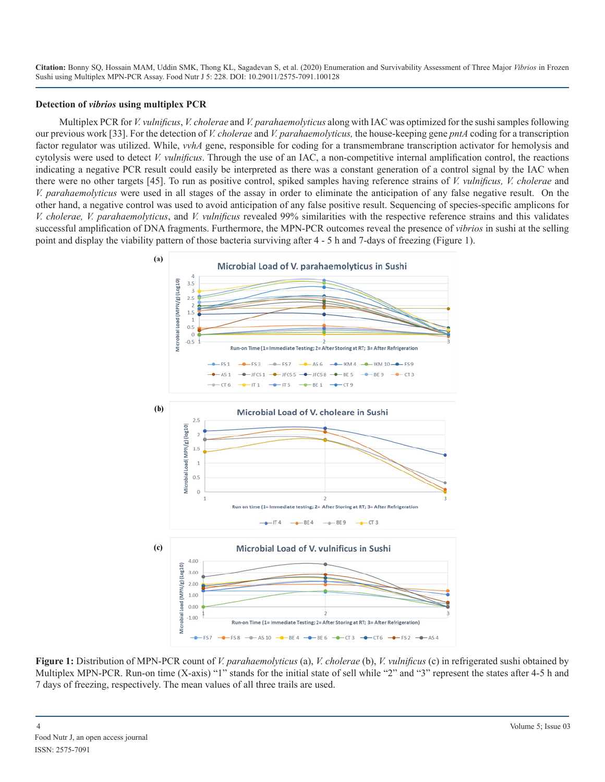#### **Detection of** *vibrios* **using multiplex PCR**

Multiplex PCR for *V. vulnificus*, *V. cholerae* and *V. parahaemolyticus* along with IAC was optimized for the sushi samples following our previous work [33]. For the detection of *V. cholerae* and *V. parahaemolyticus,* the house-keeping gene *pntA* coding for a transcription factor regulator was utilized. While, *vvhA* gene, responsible for coding for a transmembrane transcription activator for hemolysis and cytolysis were used to detect *V. vulnificus*. Through the use of an IAC, a non-competitive internal amplification control, the reactions indicating a negative PCR result could easily be interpreted as there was a constant generation of a control signal by the IAC when there were no other targets [45]. To run as positive control, spiked samples having reference strains of *V. vulnificus, V. cholerae* and *V. parahaemolyticus* were used in all stages of the assay in order to eliminate the anticipation of any false negative result. On the other hand, a negative control was used to avoid anticipation of any false positive result. Sequencing of species-specific amplicons for *V. cholerae, V. parahaemolyticus*, and *V. vulnificus* revealed 99% similarities with the respective reference strains and this validates successful amplification of DNA fragments. Furthermore, the MPN-PCR outcomes reveal the presence of *vibrios* in sushi at the selling point and display the viability pattern of those bacteria surviving after 4 - 5 h and 7-days of freezing (Figure 1).



**Figure 1:** Distribution of MPN-PCR count of *V. parahaemolyticus* (a), *V. cholerae* (b), *V. vulnificus* (c) in refrigerated sushi obtained by Multiplex MPN-PCR. Run-on time (X-axis) "1" stands for the initial state of sell while "2" and "3" represent the states after 4-5 h and 7 days of freezing, respectively. The mean values of all three trails are used.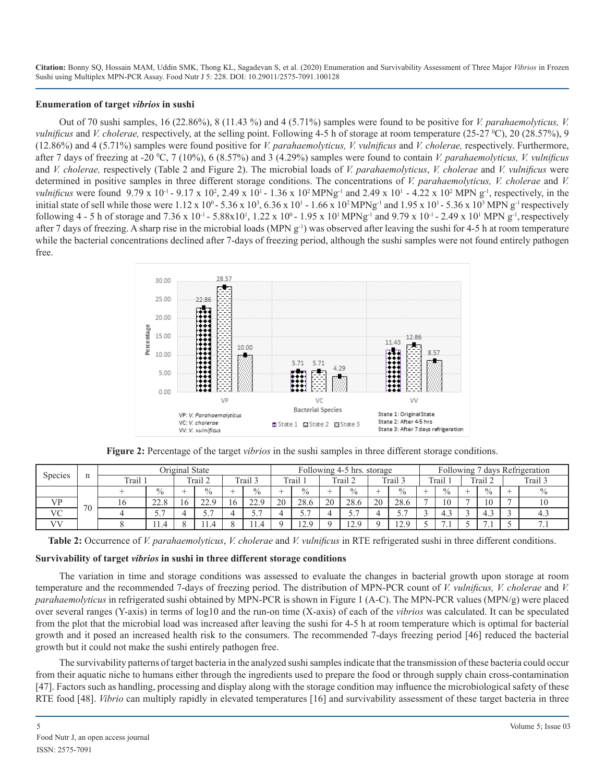#### **Enumeration of target** *vibrios* **in sushi**

Out of 70 sushi samples, 16 (22.86%), 8 (11.43 %) and 4 (5.71%) samples were found to be positive for *V. parahaemolyticus, V. vulnificus* and *V. cholerae*, respectively, at the selling point. Following 4-5 h of storage at room temperature (25-27 °C), 20 (28.57%), 9 (12.86%) and 4 (5.71%) samples were found positive for *V. parahaemolyticus, V. vulnificus* and *V. cholerae,* respectively. Furthermore, after 7 days of freezing at -20 <sup>o</sup>C, 7 (10%), 6 (8.57%) and 3 (4.29%) samples were found to contain *V. parahaemolyticus, V. vulnificus* and *V. cholerae,* respectively (Table 2 and Figure 2). The microbial loads of *V. parahaemolyticus*, *V. cholerae* and *V. vulnificus* were determined in positive samples in three different storage conditions. The concentrations of *V. parahaemolyticus, V. cholerae* and *V. vulnificus* were found 9.79 x 10<sup>-1</sup> - 9.17 x 10<sup>2</sup>, 2.49 x 10<sup>1</sup> - 1.36 x 10<sup>2</sup> MPNg<sup>-1</sup> and 2.49 x 10<sup>1</sup> - 4.22 x 10<sup>2</sup> MPN g<sup>-1</sup>, respectively, in the initial state of sell while those were  $1.12 \times 10^0 - 5.36 \times 10^3$ ,  $6.36 \times 10^1 - 1.66 \times 10^2 \text{ MPNg}^{-1}$  and  $1.95 \times 10^1 - 5.36 \times 10^3 \text{ MPNg}^{-1}$  respectively following 4 - 5 h of storage and 7.36 x 10<sup>-1</sup> - 5.88x10<sup>1</sup>, 1.22 x 10<sup>0</sup> - 1.95 x 10<sup>1</sup> MPNg<sup>-1</sup> and 9.79 x 10<sup>-1</sup> - 2.49 x 10<sup>1</sup> MPN g<sup>-1</sup>, respectively after 7 days of freezing. A sharp rise in the microbial loads (MPN  $g^{-1}$ ) was observed after leaving the sushi for 4-5 h at room temperature while the bacterial concentrations declined after 7-days of freezing period, although the sushi samples were not found entirely pathogen free.



**Figure 2:** Percentage of the target *vibrios* in the sushi samples in three different storage conditions.

| Species   | n  | Original State |                 |          |                       |  | Following 4-5 hrs. storage |    |                         |    |                            |    |                            | days Refrigeration<br>Following |                |                |               |          |         |
|-----------|----|----------------|-----------------|----------|-----------------------|--|----------------------------|----|-------------------------|----|----------------------------|----|----------------------------|---------------------------------|----------------|----------------|---------------|----------|---------|
|           |    | Trail          |                 |          | Trail 2               |  | Trail 3                    |    | Trail                   |    | Trail 2                    |    | Trail.                     |                                 | Trail          |                | Trail.        |          | Trail 3 |
|           | 70 |                | $\frac{0}{0}$   |          | $\%$                  |  | $\frac{0}{0}$              | -  | $\frac{0}{0}$           |    | $\%$                       | -- | $\frac{0}{0}$              |                                 | $\frac{0}{0}$  |                | $\frac{0}{0}$ | <b>-</b> | $\%$    |
| <b>VP</b> |    | 16             | 220<br>44.C     | $\theta$ | າາ ດ<br>44.           |  | $\sim$<br>44.,             | 20 | 28.6                    | 20 | 28.6                       | 20 | 28.6                       |                                 | 1 <sub>0</sub> | $\overline{ }$ | 10            |          | 1 V     |
| <b>VC</b> |    |                | . –<br><u>.</u> |          | $\overline{ }$<br>، ب |  | <u>.</u>                   |    | $\overline{ }$<br>، ، ب |    | $\overline{ }$<br><u>.</u> |    | $\overline{ }$<br><u>.</u> |                                 | .              |                | 4.5           |          | -4.5    |
| VV        |    |                | .               |          | 11.4                  |  | 11.4                       |    | 20<br>L∠.               |    | 120<br>⊥∠.                 |    | 1 2 Q<br>$\cdot$ $\sim$    | ۰                               | . .            |                | $\cdot$       |          | .       |

**Table 2:** Occurrence of *V. parahaemolyticus*, *V. cholerae* and *V. vulnificus* in RTE refrigerated sushi in three different conditions.

### **Survivability of target** *vibrios* **in sushi in three different storage conditions**

The variation in time and storage conditions was assessed to evaluate the changes in bacterial growth upon storage at room temperature and the recommended 7-days of freezing period. The distribution of MPN-PCR count of *V. vulnificus, V. cholerae* and *V. parahaemolyticus* in refrigerated sushi obtained by MPN-PCR is shown in Figure 1 (A-C). The MPN-PCR values (MPN/g) were placed over several ranges (Y-axis) in terms of log10 and the run-on time (X-axis) of each of the *vibrios* was calculated. It can be speculated from the plot that the microbial load was increased after leaving the sushi for 4-5 h at room temperature which is optimal for bacterial growth and it posed an increased health risk to the consumers. The recommended 7-days freezing period [46] reduced the bacterial growth but it could not make the sushi entirely pathogen free.

The survivability patterns of target bacteria in the analyzed sushi samples indicate that the transmission of these bacteria could occur from their aquatic niche to humans either through the ingredients used to prepare the food or through supply chain cross-contamination [47]. Factors such as handling, processing and display along with the storage condition may influence the microbiological safety of these RTE food [48]. *Vibrio* can multiply rapidly in elevated temperatures [16] and survivability assessment of these target bacteria in three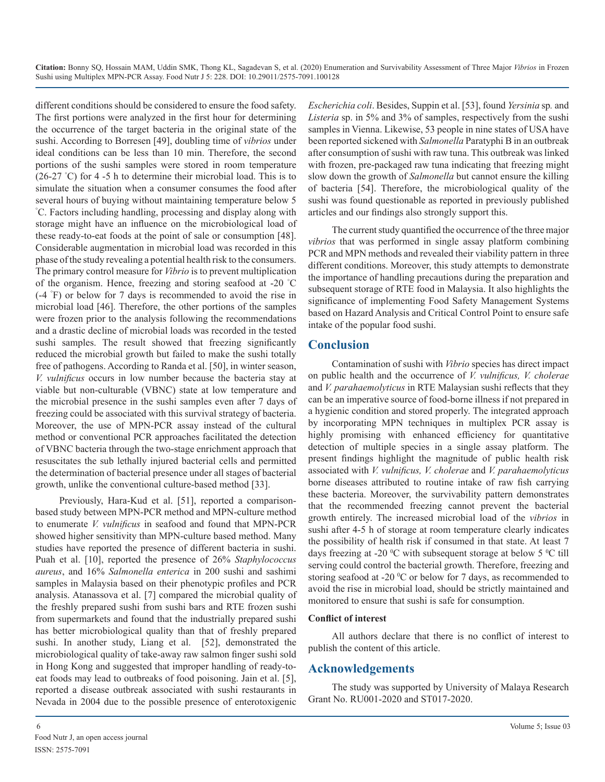different conditions should be considered to ensure the food safety. The first portions were analyzed in the first hour for determining the occurrence of the target bacteria in the original state of the sushi. According to Borresen [49], doubling time of *vibrios* under ideal conditions can be less than 10 min. Therefore, the second portions of the sushi samples were stored in room temperature (26-27 ° C) for 4 -5 h to determine their microbial load. This is to simulate the situation when a consumer consumes the food after several hours of buying without maintaining temperature below 5 ° C. Factors including handling, processing and display along with storage might have an influence on the microbiological load of these ready-to-eat foods at the point of sale or consumption [48]. Considerable augmentation in microbial load was recorded in this phase of the study revealing a potential health risk to the consumers. The primary control measure for *Vibrio* is to prevent multiplication of the organism. Hence, freezing and storing seafood at -20 ° C (-4 ° F) or below for 7 days is recommended to avoid the rise in microbial load [46]. Therefore, the other portions of the samples were frozen prior to the analysis following the recommendations and a drastic decline of microbial loads was recorded in the tested sushi samples. The result showed that freezing significantly reduced the microbial growth but failed to make the sushi totally free of pathogens. According to Randa et al. [50], in winter season, *V. vulnificus* occurs in low number because the bacteria stay at viable but non-culturable (VBNC) state at low temperature and the microbial presence in the sushi samples even after 7 days of freezing could be associated with this survival strategy of bacteria. Moreover, the use of MPN-PCR assay instead of the cultural method or conventional PCR approaches facilitated the detection of VBNC bacteria through the two-stage enrichment approach that resuscitates the sub lethally injured bacterial cells and permitted the determination of bacterial presence under all stages of bacterial growth, unlike the conventional culture-based method [33].

Previously, Hara-Kud et al. [51], reported a comparisonbased study between MPN-PCR method and MPN-culture method to enumerate *V. vulnificus* in seafood and found that MPN-PCR showed higher sensitivity than MPN-culture based method. Many studies have reported the presence of different bacteria in sushi. Puah et al. [10], reported the presence of 26% *Staphylococcus aureus*, and 16% *Salmonella enterica* in 200 sushi and sashimi samples in Malaysia based on their phenotypic profiles and PCR analysis. Atanassova et al. [7] compared the microbial quality of the freshly prepared sushi from sushi bars and RTE frozen sushi from supermarkets and found that the industrially prepared sushi has better microbiological quality than that of freshly prepared sushi. In another study, Liang et al. [52], demonstrated the microbiological quality of take-away raw salmon finger sushi sold in Hong Kong and suggested that improper handling of ready-toeat foods may lead to outbreaks of food poisoning. Jain et al. [5], reported a disease outbreak associated with sushi restaurants in Nevada in 2004 due to the possible presence of enterotoxigenic

*Escherichia coli*. Besides, Suppin et al. [53], found *Yersinia* sp*.* and *Listeria* sp. in 5% and 3% of samples, respectively from the sushi samples in Vienna. Likewise, 53 people in nine states of USA have been reported sickened with *Salmonella* Paratyphi B in an outbreak after consumption of sushi with raw tuna. This outbreak was linked with frozen, pre-packaged raw tuna indicating that freezing might slow down the growth of *Salmonella* but cannot ensure the killing of bacteria [54]. Therefore, the microbiological quality of the sushi was found questionable as reported in previously published articles and our findings also strongly support this.

The current study quantified the occurrence of the three major *vibrios* that was performed in single assay platform combining PCR and MPN methods and revealed their viability pattern in three different conditions. Moreover, this study attempts to demonstrate the importance of handling precautions during the preparation and subsequent storage of RTE food in Malaysia. It also highlights the significance of implementing Food Safety Management Systems based on Hazard Analysis and Critical Control Point to ensure safe intake of the popular food sushi.

# **Conclusion**

Contamination of sushi with *Vibrio* species has direct impact on public health and the occurrence of *V. vulnificus, V. cholerae*  and *V. parahaemolyticus* in RTE Malaysian sushi reflects that they can be an imperative source of food-borne illness if not prepared in a hygienic condition and stored properly. The integrated approach by incorporating MPN techniques in multiplex PCR assay is highly promising with enhanced efficiency for quantitative detection of multiple species in a single assay platform. The present findings highlight the magnitude of public health risk associated with *V. vulnificus, V. cholerae* and *V. parahaemolyticus*  borne diseases attributed to routine intake of raw fish carrying these bacteria. Moreover, the survivability pattern demonstrates that the recommended freezing cannot prevent the bacterial growth entirely. The increased microbial load of the *vibrios* in sushi after 4-5 h of storage at room temperature clearly indicates the possibility of health risk if consumed in that state. At least 7 days freezing at -20  $\rm{^0C}$  with subsequent storage at below 5  $\rm{^0C}$  till serving could control the bacterial growth. Therefore, freezing and storing seafood at -20  $\rm{^{\circ}C}$  or below for 7 days, as recommended to avoid the rise in microbial load, should be strictly maintained and monitored to ensure that sushi is safe for consumption.

### **Conflict of interest**

All authors declare that there is no conflict of interest to publish the content of this article.

## **Acknowledgements**

The study was supported by University of Malaya Research Grant No. RU001-2020 and ST017-2020.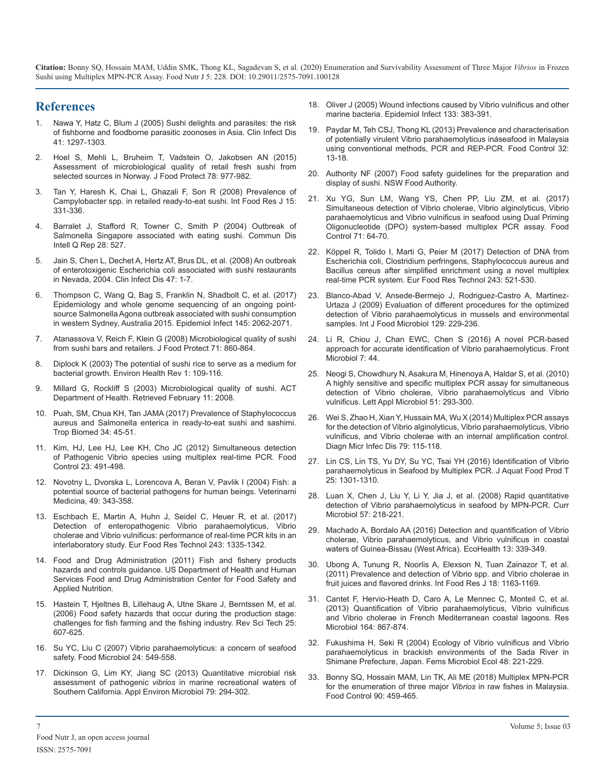## **References**

- 1. Nawa Y, Hatz C, Blum J (2005) Sushi delights and parasites: the risk of fishborne and foodborne parasitic zoonoses in Asia. Clin Infect Dis 41: 1297-1303.
- 2. Hoel S, Mehli L, Bruheim T, Vadstein O, Jakobsen AN (2015) Assessment of microbiological quality of retail fresh sushi from selected sources in Norway. J Food Protect 78: 977-982.
- Tan Y, Haresh K, Chai L, Ghazali F, Son R (2008) Prevalence of Campylobacter spp. in retailed ready-to-eat sushi. Int Food Res J 15: 331-336.
- 4. Barralet J, Stafford R, Towner C, Smith P (2004) Outbreak of Salmonella Singapore associated with eating sushi. Commun Dis Intell Q Rep 28: 527.
- 5. Jain S, Chen L, Dechet A, Hertz AT, Brus DL, et al. (2008) An outbreak of enterotoxigenic Escherichia coli associated with sushi restaurants in Nevada, 2004. Clin Infect Dis 47: 1-7.
- 6. Thompson C, Wang Q, Bag S, Franklin N, Shadbolt C, et al. (2017) Epidemiology and whole genome sequencing of an ongoing pointsource Salmonella Agona outbreak associated with sushi consumption in western Sydney, Australia 2015. Epidemiol Infect 145: 2062-2071.
- 7. Atanassova V, Reich F, Klein G (2008) Microbiological quality of sushi from sushi bars and retailers. J Food Protect 71: 860-864.
- 8. Diplock K (2003) The potential of sushi rice to serve as a medium for bacterial growth. Environ Health Rev 1: 109-116.
- 9. Millard G, Rockliff S (2003) Microbiological quality of sushi. ACT Department of Health. Retrieved February 11: 2008.
- 10. Puah, SM, Chua KH, Tan JAMA (2017) Prevalence of Staphylococcus aureus and Salmonella enterica in ready-to-eat sushi and sashimi. Trop Biomed 34: 45-51.
- 11. Kim, HJ, Lee HJ, Lee KH, Cho JC (2012) Simultaneous detection of Pathogenic Vibrio species using multiplex real-time PCR. Food Control 23: 491-498.
- 12. Novotny L, Dvorska L, Lorencova A, Beran V, Pavlik I (2004) Fish: a potential source of bacterial pathogens for human beings. Veterinarni Medicina, 49: 343-358.
- 13. Eschbach E, Martin A, Huhn J, Seidel C, Heuer R, et al. (2017) Detection of enteropathogenic Vibrio parahaemolyticus, Vibrio cholerae and Vibrio vulnificus: performance of real-time PCR kits in an interlaboratory study. Eur Food Res Technol 243: 1335-1342.
- 14. Food and Drug Administration (2011) Fish and fishery products hazards and controls guidance. US Department of Health and Human Services Food and Drug Administration Center for Food Safety and Applied Nutrition.
- 15. Hastein T, Hjeltnes B, Lillehaug A, Utne Skare J, Berntssen M, et al. (2006) Food safety hazards that occur during the production stage: challenges for fish farming and the fishing industry. Rev Sci Tech 25: 607-625.
- 16. Su YC, Liu C (2007) Vibrio parahaemolyticus: a concern of seafood safety. Food Microbiol 24: 549-558.
- 17. Dickinson G, Lim KY, Jiang SC (2013) Quantitative microbial risk assessment of pathogenic *vibrios* in marine recreational waters of Southern California. Appl Environ Microbiol 79: 294-302.
- 18. Oliver J (2005) Wound infections caused by Vibrio vulnificus and other marine bacteria. Epidemiol Infect 133: 383-391.
- 19. Paydar M, Teh CSJ, Thong KL (2013) Prevalence and characterisation of potentially virulent Vibrio parahaemolyticus ináseafood in Malaysia using conventional methods, PCR and REP-PCR. Food Control 32: 13-18.
- 20. Authority NF (2007) Food safety guidelines for the preparation and display of sushi. NSW Food Authority.
- 21. Xu YG, Sun LM, Wang YS, Chen PP, Liu ZM, et al. (2017) Simultaneous detection of Vibrio cholerae, Vibrio alginolyticus, Vibrio parahaemolyticus and Vibrio vulnificus in seafood using Dual Priming Oligonucleotide (DPO) system-based multiplex PCR assay. Food Control 71: 64-70.
- 22. Köppel R, Tolido I, Marti G, Peier M (2017) Detection of DNA from Escherichia coli, Clostridium perfringens, Staphylococcus aureus and Bacillus cereus after simplified enrichment using a novel multiplex real-time PCR system. Eur Food Res Technol 243: 521-530.
- 23. Blanco-Abad V, Ansede-Bermejo J, Rodriguez-Castro A, Martinez-Urtaza J (2009) Evaluation of different procedures for the optimized detection of Vibrio parahaemolyticus in mussels and environmental samples. Int J Food Microbiol 129: 229-236.
- 24. Li R, Chiou J, Chan EWC, Chen S (2016) A novel PCR-based approach for accurate identification of Vibrio parahaemolyticus. Front Microbiol 7: 44.
- 25. Neogi S, Chowdhury N, Asakura M, Hinenoya A, Haldar S, et al. (2010) A highly sensitive and specific multiplex PCR assay for simultaneous detection of Vibrio cholerae, Vibrio parahaemolyticus and Vibrio vulnificus. Lett Appl Microbiol 51: 293-300.
- 26. Wei S, Zhao H, Xian Y, Hussain MA, Wu X (2014) Multiplex PCR assays for the detection of Vibrio alginolyticus, Vibrio parahaemolyticus, Vibrio vulnificus, and Vibrio cholerae with an internal amplification control. Diagn Micr Infec Dis 79: 115-118.
- 27. Lin CS, Lin TS, Yu DY, Su YC, Tsai YH (2016) Identification of Vibrio parahaemolyticus in Seafood by Multiplex PCR. J Aquat Food Prod T 25: 1301-1310.
- 28. Luan X, Chen J, Liu Y, Li Y, Jia J, et al. (2008) Rapid quantitative detection of Vibrio parahaemolyticus in seafood by MPN-PCR. Curr Microbiol 57: 218-221.
- 29. Machado A, Bordalo AA (2016) Detection and quantification of Vibrio cholerae, Vibrio parahaemolyticus, and Vibrio vulnificus in coastal waters of Guinea-Bissau (West Africa). EcoHealth 13: 339-349.
- 30. Ubong A, Tunung R, Noorlis A, Elexson N, Tuan Zainazor T, et al. (2011) Prevalence and detection of Vibrio spp. and Vibrio cholerae in fruit juices and flavored drinks. Int Food Res J 18: 1163-1169.
- 31. Cantet F, Hervio-Heath D, Caro A, Le Mennec C, Monteil C, et al. (2013) Quantification of Vibrio parahaemolyticus, Vibrio vulnificus and Vibrio cholerae in French Mediterranean coastal lagoons. Res Microbiol 164: 867-874.
- 32. Fukushima H, Seki R (2004) Ecology of Vibrio vulnificus and Vibrio parahaemolyticus in brackish environments of the Sada River in Shimane Prefecture, Japan. Fems Microbiol Ecol 48: 221-229.
- 33. Bonny SQ, Hossain MAM, Lin TK, Ali ME (2018) Multiplex MPN-PCR for the enumeration of three major *Vibrios* in raw fishes in Malaysia. Food Control 90: 459-465.